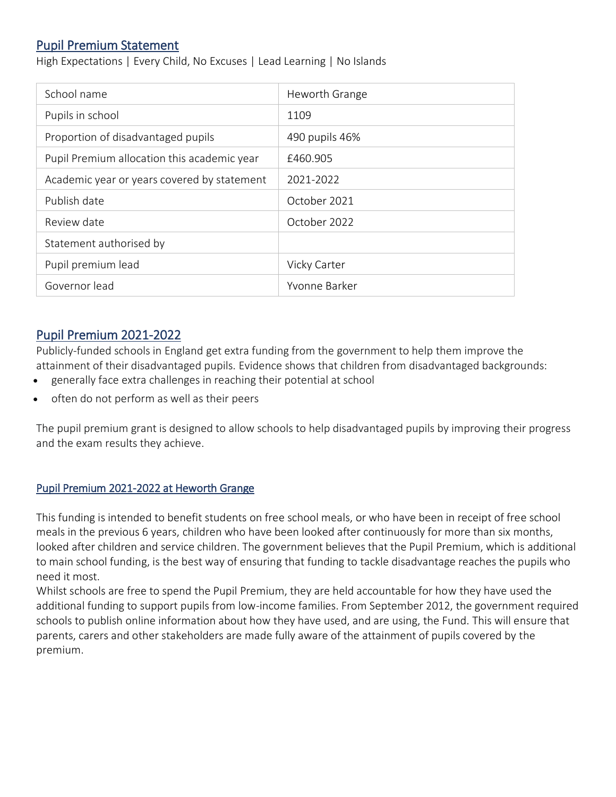## Pupil Premium Statement

High Expectations | Every Child, No Excuses | Lead Learning | No Islands

| School name                                 | Heworth Grange |
|---------------------------------------------|----------------|
| Pupils in school                            | 1109           |
| Proportion of disadvantaged pupils          | 490 pupils 46% |
| Pupil Premium allocation this academic year | £460.905       |
| Academic year or years covered by statement | 2021-2022      |
| Publish date                                | October 2021   |
| Review date                                 | October 2022   |
| Statement authorised by                     |                |
| Pupil premium lead                          | Vicky Carter   |
| Governor lead                               | Yvonne Barker  |

## Pupil Premium 2021-2022

Publicly-funded schools in England get extra funding from the government to help them improve the attainment of their disadvantaged pupils. Evidence shows that children from disadvantaged backgrounds:

- generally face extra challenges in reaching their potential at school
- often do not perform as well as their peers

The pupil premium grant is designed to allow schools to help disadvantaged pupils by improving their progress and the exam results they achieve.

#### Pupil Premium 2021-2022 at Heworth Grange

This funding is intended to benefit students on free school meals, or who have been in receipt of free school meals in the previous 6 years, children who have been looked after continuously for more than six months, looked after children and service children. The government believes that the Pupil Premium, which is additional to main school funding, is the best way of ensuring that funding to tackle disadvantage reaches the pupils who need it most.

Whilst schools are free to spend the Pupil Premium, they are held accountable for how they have used the additional funding to support pupils from low-income families. From September 2012, the government required schools to publish online information about how they have used, and are using, the Fund. This will ensure that parents, carers and other stakeholders are made fully aware of the attainment of pupils covered by the premium.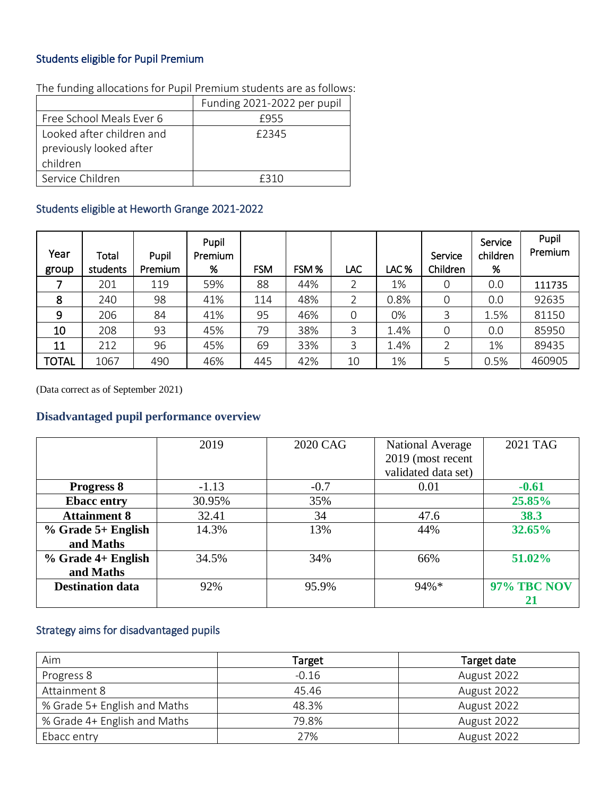## Students eligible for Pupil Premium

|                                                                  | Funding 2021-2022 per pupil |
|------------------------------------------------------------------|-----------------------------|
| Free School Meals Ever 6                                         | £955                        |
| Looked after children and<br>previously looked after<br>children | £2345                       |
| Service Children                                                 | £310                        |

The funding allocations for Pupil Premium students are as follows:

## Students eligible at Heworth Grange 2021-2022

| Year<br>group | Total<br>students | Pupil<br>Premium | Pupil<br>Premium<br>% | <b>FSM</b> | FSM% | LAC            | LAC% | Service<br>Children | Service<br>children<br>% | Pupil<br>Premium |
|---------------|-------------------|------------------|-----------------------|------------|------|----------------|------|---------------------|--------------------------|------------------|
|               | 201               | 119              | 59%                   | 88         | 44%  | $\overline{2}$ | 1%   | $\mathbf 0$         | 0.0                      | 111735           |
| 8             | 240               | 98               | 41%                   | 114        | 48%  | $\overline{2}$ | 0.8% | $\mathbf 0$         | 0.0                      | 92635            |
| 9             | 206               | 84               | 41%                   | 95         | 46%  | 0              | 0%   | 3                   | 1.5%                     | 81150            |
| 10            | 208               | 93               | 45%                   | 79         | 38%  | 3              | 1.4% | $\mathbf 0$         | 0.0                      | 85950            |
| 11            | 212               | 96               | 45%                   | 69         | 33%  | 3              | 1.4% | 2                   | 1%                       | 89435            |
| <b>TOTAL</b>  | 1067              | 490              | 46%                   | 445        | 42%  | 10             | 1%   | 5                   | 0.5%                     | 460905           |

(Data correct as of September 2021)

### **Disadvantaged pupil performance overview**

|                         | 2019    | 2020 CAG | National Average    | 2021 TAG           |
|-------------------------|---------|----------|---------------------|--------------------|
|                         |         |          | 2019 (most recent   |                    |
|                         |         |          | validated data set) |                    |
| <b>Progress 8</b>       | $-1.13$ | $-0.7$   | 0.01                | $-0.61$            |
| <b>Ebacc entry</b>      | 30.95%  | 35%      |                     | 25.85%             |
| <b>Attainment 8</b>     | 32.41   | 34       | 47.6                | 38.3               |
| $%$ Grade 5+ English    | 14.3%   | 13%      | 44%                 | 32.65%             |
| and Maths               |         |          |                     |                    |
| % Grade 4+ English      | 34.5%   | 34%      | 66%                 | 51.02%             |
| and Maths               |         |          |                     |                    |
| <b>Destination data</b> | 92%     | 95.9%    | $94\%*$             | <b>97% TBC NOV</b> |
|                         |         |          |                     | 21                 |

## Strategy aims for disadvantaged pupils

| Aim                          | <b>Target</b> | Target date |
|------------------------------|---------------|-------------|
| Progress 8                   | $-0.16$       | August 2022 |
| Attainment 8                 | 45.46         | August 2022 |
| % Grade 5+ English and Maths | 48.3%         | August 2022 |
| % Grade 4+ English and Maths | 79.8%         | August 2022 |
| Ebacc entry                  | 27%           | August 2022 |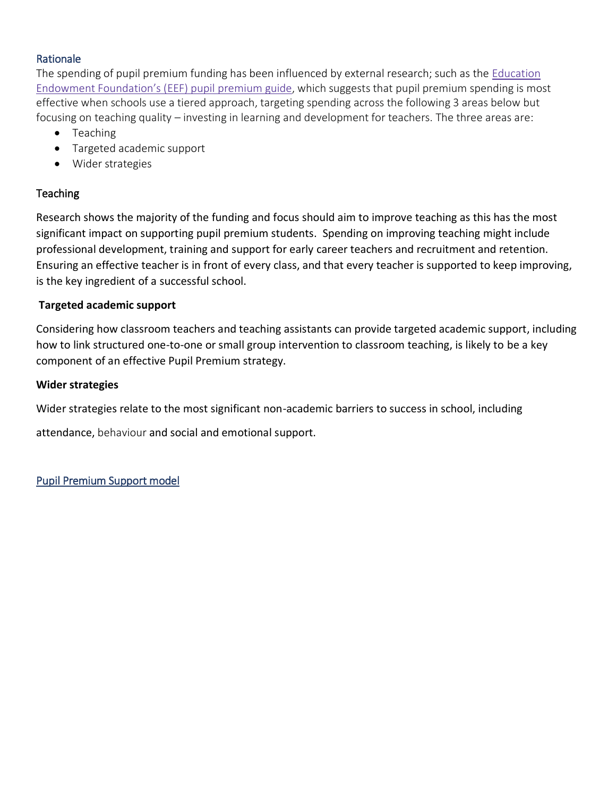#### Rationale

The spending of pupil premium funding has been influenced by external research; such as the [Education](https://educationendowmentfoundation.org.uk/evidence-summaries/pupil-premium-guide/) Endowment [Foundation's](https://educationendowmentfoundation.org.uk/evidence-summaries/pupil-premium-guide/) (EEF) pupil premium guide, which suggests that pupil premium spending is most effective when schools use a tiered approach, targeting spending across the following 3 areas below but focusing on teaching quality – investing in learning and development for teachers. The three areas are:

- Teaching
- Targeted academic support
- Wider strategies

### **Teaching**

Research shows the majority of the funding and focus should aim to improve teaching as this has the most significant impact on supporting pupil premium students. Spending on improving teaching might include professional development, training and support for early career teachers and recruitment and retention. Ensuring an effective teacher is in front of every class, and that every teacher is supported to keep improving, is the key ingredient of a successful school.

#### **Targeted academic support**

Considering how classroom teachers and teaching assistants can provide targeted academic support, including how to link structured one-to-one or small group intervention to classroom teaching, is likely to be a key component of an effective Pupil Premium strategy.

#### **Wider strategies**

Wider strategies relate to the most significant non-academic barriers to success in school, including

attendance, behaviour and social and emotional support.

Pupil Premium Support model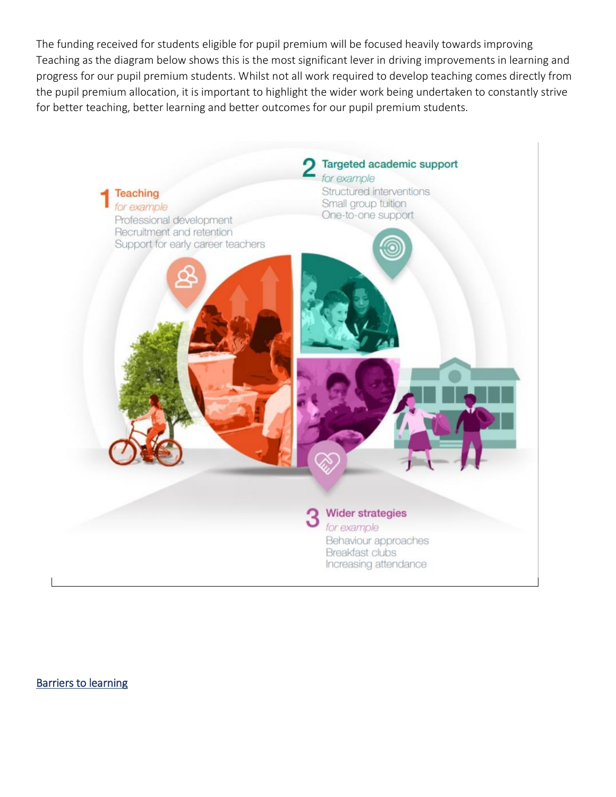The funding received for students eligible for pupil premium will be focused heavily towards improving Teaching as the diagram below shows this is the most significant lever in driving improvements in learning and progress for our pupil premium students. Whilst not all work required to develop teaching comes directly from the pupil premium allocation, it is important to highlight the wider work being undertaken to constantly strive for better teaching, better learning and better outcomes for our pupil premium students.



Barriers to learning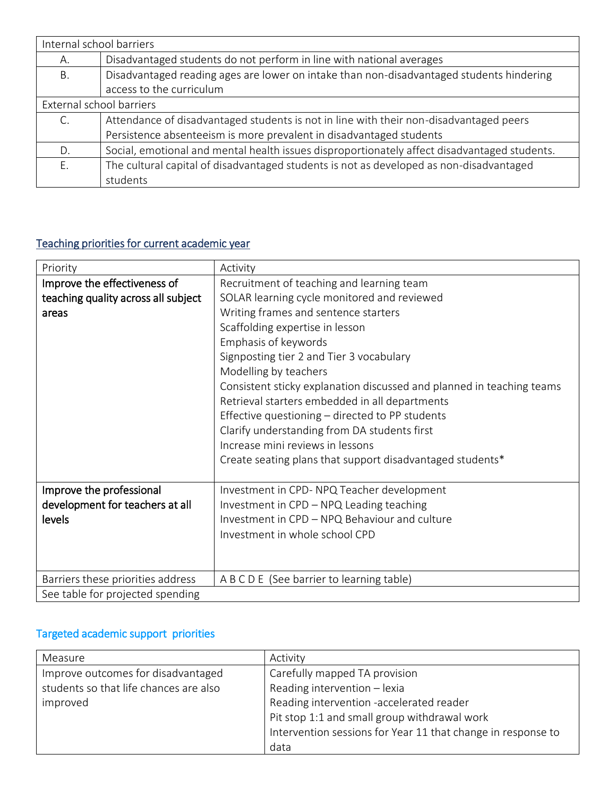| Internal school barriers |                                                                                              |
|--------------------------|----------------------------------------------------------------------------------------------|
| А.                       | Disadvantaged students do not perform in line with national averages                         |
| Β.                       | Disadvantaged reading ages are lower on intake than non-disadvantaged students hindering     |
|                          | access to the curriculum                                                                     |
| External school barriers |                                                                                              |
|                          | Attendance of disadvantaged students is not in line with their non-disadvantaged peers       |
|                          | Persistence absenteeism is more prevalent in disadvantaged students                          |
| D.                       | Social, emotional and mental health issues disproportionately affect disadvantaged students. |
| F.                       | The cultural capital of disadvantaged students is not as developed as non-disadvantaged      |
|                          | students                                                                                     |

# Teaching priorities for current academic year

| Priority                            | Activity                                                              |
|-------------------------------------|-----------------------------------------------------------------------|
| Improve the effectiveness of        | Recruitment of teaching and learning team                             |
| teaching quality across all subject | SOLAR learning cycle monitored and reviewed                           |
| areas                               | Writing frames and sentence starters                                  |
|                                     | Scaffolding expertise in lesson                                       |
|                                     | Emphasis of keywords                                                  |
|                                     | Signposting tier 2 and Tier 3 vocabulary                              |
|                                     | Modelling by teachers                                                 |
|                                     | Consistent sticky explanation discussed and planned in teaching teams |
|                                     | Retrieval starters embedded in all departments                        |
|                                     | Effective questioning - directed to PP students                       |
|                                     | Clarify understanding from DA students first                          |
|                                     | Increase mini reviews in lessons                                      |
|                                     | Create seating plans that support disadvantaged students*             |
|                                     |                                                                       |
| Improve the professional            | Investment in CPD-NPQ Teacher development                             |
| development for teachers at all     | Investment in CPD - NPQ Leading teaching                              |
| levels                              | Investment in CPD - NPQ Behaviour and culture                         |
|                                     | Investment in whole school CPD                                        |
|                                     |                                                                       |
|                                     |                                                                       |
| Barriers these priorities address   | A B C D E (See barrier to learning table)                             |
| See table for projected spending    |                                                                       |

# Targeted academic support priorities

| Measure                                | Activity                                                     |
|----------------------------------------|--------------------------------------------------------------|
| Improve outcomes for disadvantaged     | Carefully mapped TA provision                                |
| students so that life chances are also | Reading intervention - lexia                                 |
| improved                               | Reading intervention -accelerated reader                     |
|                                        | Pit stop 1:1 and small group withdrawal work                 |
|                                        | Intervention sessions for Year 11 that change in response to |
|                                        | data                                                         |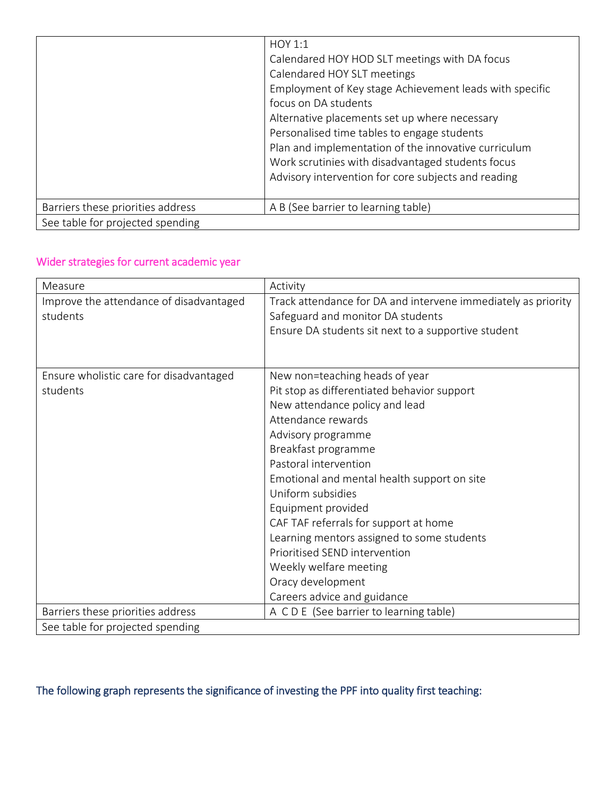|                                   | HOY 1:1                                                 |
|-----------------------------------|---------------------------------------------------------|
|                                   | Calendared HOY HOD SLT meetings with DA focus           |
|                                   | Calendared HOY SLT meetings                             |
|                                   | Employment of Key stage Achievement leads with specific |
|                                   | focus on DA students                                    |
|                                   | Alternative placements set up where necessary           |
|                                   | Personalised time tables to engage students             |
|                                   | Plan and implementation of the innovative curriculum    |
|                                   | Work scrutinies with disadvantaged students focus       |
|                                   | Advisory intervention for core subjects and reading     |
|                                   |                                                         |
| Barriers these priorities address | A B (See barrier to learning table)                     |
| See table for projected spending  |                                                         |

# Wider strategies for current academic year

| Measure                                 | Activity                                                      |
|-----------------------------------------|---------------------------------------------------------------|
| Improve the attendance of disadvantaged | Track attendance for DA and intervene immediately as priority |
| students                                | Safeguard and monitor DA students                             |
|                                         | Ensure DA students sit next to a supportive student           |
|                                         |                                                               |
|                                         |                                                               |
| Ensure wholistic care for disadvantaged | New non=teaching heads of year                                |
| students                                | Pit stop as differentiated behavior support                   |
|                                         | New attendance policy and lead                                |
|                                         | Attendance rewards                                            |
|                                         | Advisory programme                                            |
|                                         | Breakfast programme                                           |
|                                         | Pastoral intervention                                         |
|                                         | Emotional and mental health support on site                   |
|                                         | Uniform subsidies                                             |
|                                         | Equipment provided                                            |
|                                         | CAF TAF referrals for support at home                         |
|                                         | Learning mentors assigned to some students                    |
|                                         | Prioritised SEND intervention                                 |
|                                         | Weekly welfare meeting                                        |
|                                         | Oracy development                                             |
|                                         | Careers advice and guidance                                   |
| Barriers these priorities address       | A CDE (See barrier to learning table)                         |
| See table for projected spending        |                                                               |

# The following graph represents the significance of investing the PPF into quality first teaching: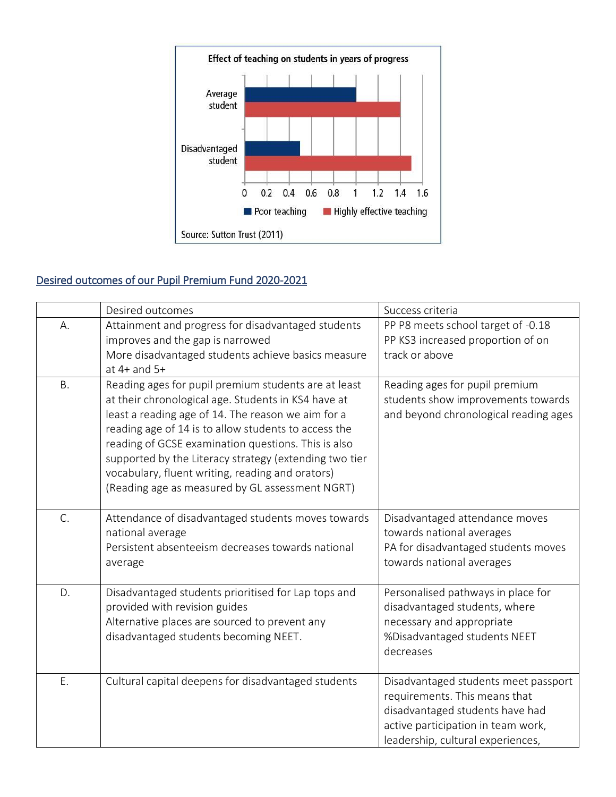

# Desired outcomes of our Pupil Premium Fund 2020-2021

|           | Desired outcomes                                                                                                                                                                                                                                                                                                                                                                                                                                  | Success criteria                                                                                                                                                                    |
|-----------|---------------------------------------------------------------------------------------------------------------------------------------------------------------------------------------------------------------------------------------------------------------------------------------------------------------------------------------------------------------------------------------------------------------------------------------------------|-------------------------------------------------------------------------------------------------------------------------------------------------------------------------------------|
| А.        | Attainment and progress for disadvantaged students<br>improves and the gap is narrowed<br>More disadvantaged students achieve basics measure<br>at $4+$ and $5+$                                                                                                                                                                                                                                                                                  | PP P8 meets school target of -0.18<br>PP KS3 increased proportion of on<br>track or above                                                                                           |
| <b>B.</b> | Reading ages for pupil premium students are at least<br>at their chronological age. Students in KS4 have at<br>least a reading age of 14. The reason we aim for a<br>reading age of 14 is to allow students to access the<br>reading of GCSE examination questions. This is also<br>supported by the Literacy strategy (extending two tier<br>vocabulary, fluent writing, reading and orators)<br>(Reading age as measured by GL assessment NGRT) | Reading ages for pupil premium<br>students show improvements towards<br>and beyond chronological reading ages                                                                       |
| C.        | Attendance of disadvantaged students moves towards<br>national average<br>Persistent absenteeism decreases towards national<br>average                                                                                                                                                                                                                                                                                                            | Disadvantaged attendance moves<br>towards national averages<br>PA for disadvantaged students moves<br>towards national averages                                                     |
| D.        | Disadvantaged students prioritised for Lap tops and<br>provided with revision guides<br>Alternative places are sourced to prevent any<br>disadvantaged students becoming NEET.                                                                                                                                                                                                                                                                    | Personalised pathways in place for<br>disadvantaged students, where<br>necessary and appropriate<br>%Disadvantaged students NEET<br>decreases                                       |
| E.        | Cultural capital deepens for disadvantaged students                                                                                                                                                                                                                                                                                                                                                                                               | Disadvantaged students meet passport<br>requirements. This means that<br>disadvantaged students have had<br>active participation in team work,<br>leadership, cultural experiences, |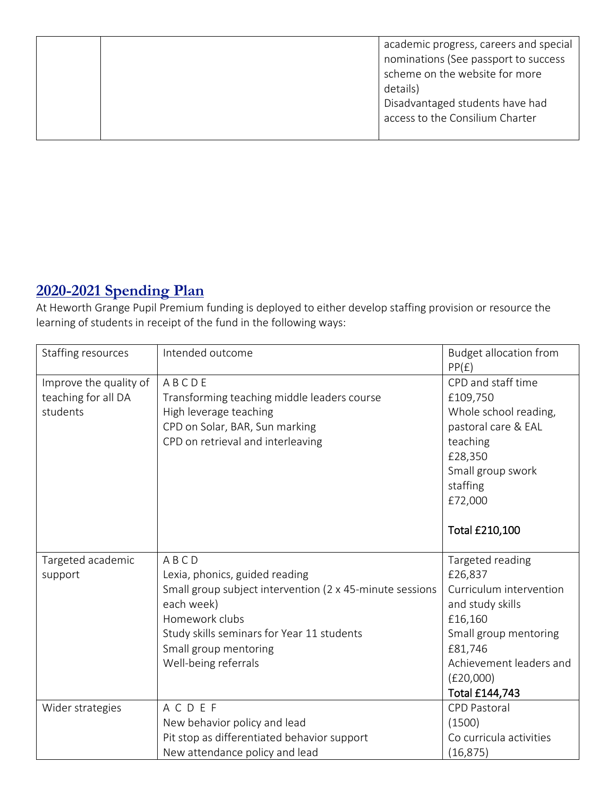|  | academic progress, careers and special<br>nominations (See passport to success<br>scheme on the website for more<br>details)<br>Disadvantaged students have had<br>access to the Consilium Charter |
|--|----------------------------------------------------------------------------------------------------------------------------------------------------------------------------------------------------|
|  |                                                                                                                                                                                                    |

# **2020-2021 Spending Plan**

At Heworth Grange Pupil Premium funding is deployed to either develop staffing provision or resource the learning of students in receipt of the fund in the following ways:

| Staffing resources                                        | Intended outcome                                                                                                                                                                                                                  | <b>Budget allocation from</b><br>PP(E)                                                                                                                                              |
|-----------------------------------------------------------|-----------------------------------------------------------------------------------------------------------------------------------------------------------------------------------------------------------------------------------|-------------------------------------------------------------------------------------------------------------------------------------------------------------------------------------|
| Improve the quality of<br>teaching for all DA<br>students | ABCDE<br>Transforming teaching middle leaders course<br>High leverage teaching<br>CPD on Solar, BAR, Sun marking<br>CPD on retrieval and interleaving                                                                             | CPD and staff time<br>£109,750<br>Whole school reading,<br>pastoral care & EAL<br>teaching<br>£28,350<br>Small group swork<br>staffing<br>£72,000                                   |
|                                                           |                                                                                                                                                                                                                                   | <b>Total £210,100</b>                                                                                                                                                               |
| Targeted academic<br>support                              | ABCD<br>Lexia, phonics, guided reading<br>Small group subject intervention (2 x 45-minute sessions<br>each week)<br>Homework clubs<br>Study skills seminars for Year 11 students<br>Small group mentoring<br>Well-being referrals | Targeted reading<br>£26,837<br>Curriculum intervention<br>and study skills<br>£16,160<br>Small group mentoring<br>£81,746<br>Achievement leaders and<br>(E20,000)<br>Total £144,743 |
| Wider strategies                                          | ACDEF<br>New behavior policy and lead<br>Pit stop as differentiated behavior support<br>New attendance policy and lead                                                                                                            | <b>CPD Pastoral</b><br>(1500)<br>Co curricula activities<br>(16, 875)                                                                                                               |